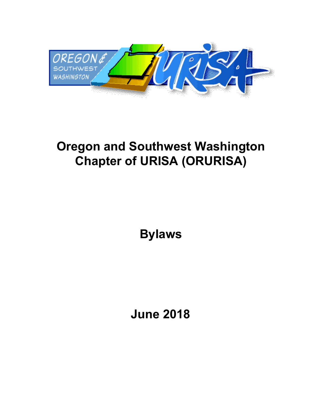

# **Oregon and Southwest Washington Chapter of URISA (ORURISA)**

**Bylaws**

**June 2018**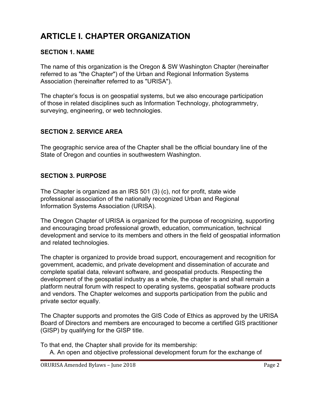## **ARTICLE I. CHAPTER ORGANIZATION**

#### **SECTION 1. NAME**

The name of this organization is the Oregon & SW Washington Chapter (hereinafter referred to as "the Chapter") of the Urban and Regional Information Systems Association (hereinafter referred to as "URISA").

The chapter's focus is on geospatial systems, but we also encourage participation of those in related disciplines such as Information Technology, photogrammetry, surveying, engineering, or web technologies.

#### **SECTION 2. SERVICE AREA**

The geographic service area of the Chapter shall be the official boundary line of the State of Oregon and counties in southwestern Washington.

#### **SECTION 3. PURPOSE**

The Chapter is organized as an IRS 501 (3) (c), not for profit, state wide professional association of the nationally recognized Urban and Regional Information Systems Association (URISA).

The Oregon Chapter of URISA is organized for the purpose of recognizing, supporting and encouraging broad professional growth, education, communication, technical development and service to its members and others in the field of geospatial information and related technologies.

The chapter is organized to provide broad support, encouragement and recognition for government, academic, and private development and dissemination of accurate and complete spatial data, relevant software, and geospatial products. Respecting the development of the geospatial industry as a whole, the chapter is and shall remain a platform neutral forum with respect to operating systems, geospatial software products and vendors. The Chapter welcomes and supports participation from the public and private sector equally.

The Chapter supports and promotes the GIS Code of Ethics as approved by the URISA Board of Directors and members are encouraged to become a certified GIS practitioner (GISP) by qualifying for the GISP title.

To that end, the Chapter shall provide for its membership:

A. An open and objective professional development forum for the exchange of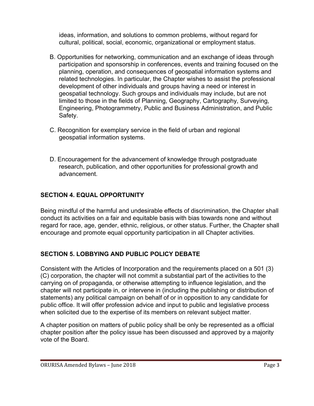ideas, information, and solutions to common problems, without regard for cultural, political, social, economic, organizational or employment status.

- B. Opportunities for networking, communication and an exchange of ideas through participation and sponsorship in conferences, events and training focused on the planning, operation, and consequences of geospatial information systems and related technologies. In particular, the Chapter wishes to assist the professional development of other individuals and groups having a need or interest in geospatial technology. Such groups and individuals may include, but are not limited to those in the fields of Planning, Geography, Cartography, Surveying, Engineering, Photogrammetry, Public and Business Administration, and Public Safety.
- C. Recognition for exemplary service in the field of urban and regional geospatial information systems.
- D. Encouragement for the advancement of knowledge through postgraduate research, publication, and other opportunities for professional growth and advancement.

## **SECTION 4. EQUAL OPPORTUNITY**

Being mindful of the harmful and undesirable effects of discrimination, the Chapter shall conduct its activities on a fair and equitable basis with bias towards none and without regard for race, age, gender, ethnic, religious, or other status. Further, the Chapter shall encourage and promote equal opportunity participation in all Chapter activities.

## **SECTION 5. LOBBYING AND PUBLIC POLICY DEBATE**

Consistent with the Articles of Incorporation and the requirements placed on a 501 (3) (C) corporation, the chapter will not commit a substantial part of the activities to the carrying on of propaganda, or otherwise attempting to influence legislation, and the chapter will not participate in, or intervene in (including the publishing or distribution of statements) any political campaign on behalf of or in opposition to any candidate for public office. It will offer profession advice and input to public and legislative process when solicited due to the expertise of its members on relevant subject matter.

A chapter position on matters of public policy shall be only be represented as a official chapter position after the policy issue has been discussed and approved by a majority vote of the Board.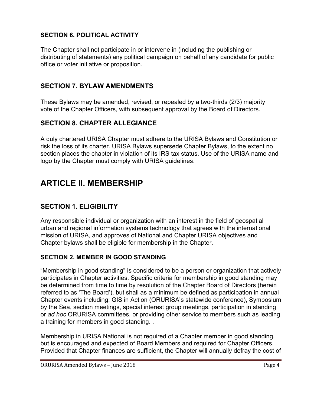## **SECTION 6. POLITICAL ACTIVITY**

The Chapter shall not participate in or intervene in (including the publishing or distributing of statements) any political campaign on behalf of any candidate for public office or voter initiative or proposition.

## **SECTION 7. BYLAW AMENDMENTS**

These Bylaws may be amended, revised, or repealed by a two-thirds (2/3) majority vote of the Chapter Officers, with subsequent approval by the Board of Directors.

## **SECTION 8. CHAPTER ALLEGIANCE**

A duly chartered URISA Chapter must adhere to the URISA Bylaws and Constitution or risk the loss of its charter. URISA Bylaws supersede Chapter Bylaws, to the extent no section places the chapter in violation of its IRS tax status. Use of the URISA name and logo by the Chapter must comply with URISA guidelines.

## **ARTICLE II. MEMBERSHIP**

## **SECTION 1. ELIGIBILITY**

Any responsible individual or organization with an interest in the field of geospatial urban and regional information systems technology that agrees with the international mission of URISA, and approves of National and Chapter URISA objectives and Chapter bylaws shall be eligible for membership in the Chapter.

## **SECTION 2. MEMBER IN GOOD STANDING**

"Membership in good standing" is considered to be a person or organization that actively participates in Chapter activities. Specific criteria for membership in good standing may be determined from time to time by resolution of the Chapter Board of Directors (herein referred to as 'The Board'), but shall as a minimum be defined as participation in annual Chapter events including: GIS in Action (ORURISA's statewide conference), Symposium by the Sea, section meetings, special interest group meetings, participation in standing or *ad hoc* ORURISA committees, or providing other service to members such as leading a training for members in good standing. .

Membership in URISA National is not required of a Chapter member in good standing, but is encouraged and expected of Board Members and required for Chapter Officers. Provided that Chapter finances are sufficient, the Chapter will annually defray the cost of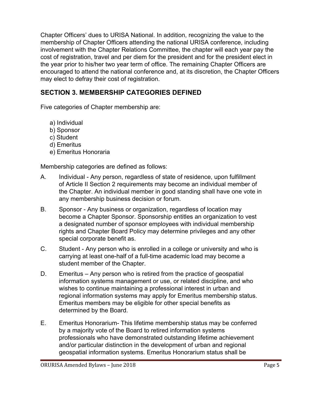Chapter Officers' dues to URISA National. In addition, recognizing the value to the membership of Chapter Officers attending the national URISA conference, including involvement with the Chapter Relations Committee, the chapter will each year pay the cost of registration, travel and per diem for the president and for the president elect in the year prior to his/her two year term of office. The remaining Chapter Officers are encouraged to attend the national conference and, at its discretion, the Chapter Officers may elect to defray their cost of registration.

## **SECTION 3. MEMBERSHIP CATEGORIES DEFINED**

Five categories of Chapter membership are:

- a) Individual
- b) Sponsor
- c) Student
- d) Emeritus
- e) Emeritus Honoraria

Membership categories are defined as follows:

- A. Individual Any person, regardless of state of residence, upon fulfillment of Article II Section 2 requirements may become an individual member of the Chapter. An individual member in good standing shall have one vote in any membership business decision or forum.
- B. Sponsor Any business or organization, regardless of location may become a Chapter Sponsor. Sponsorship entitles an organization to vest a designated number of sponsor employees with individual membership rights and Chapter Board Policy may determine privileges and any other special corporate benefit as.
- C. Student Any person who is enrolled in a college or university and who is carrying at least one-half of a full-time academic load may become a student member of the Chapter.
- D. Emeritus Any person who is retired from the practice of geospatial information systems management or use, or related discipline, and who wishes to continue maintaining a professional interest in urban and regional information systems may apply for Emeritus membership status. Emeritus members may be eligible for other special benefits as determined by the Board.
- E. Emeritus Honorarium- This lifetime membership status may be conferred by a majority vote of the Board to retired information systems professionals who have demonstrated outstanding lifetime achievement and/or particular distinction in the development of urban and regional geospatial information systems. Emeritus Honorarium status shall be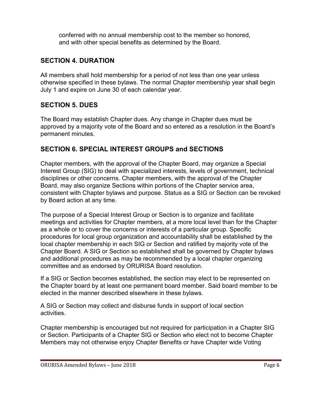conferred with no annual membership cost to the member so honored, and with other special benefits as determined by the Board.

## **SECTION 4. DURATION**

All members shall hold membership for a period of not less than one year unless otherwise specified in these bylaws. The normal Chapter membership year shall begin July 1 and expire on June 30 of each calendar year.

## **SECTION 5. DUES**

The Board may establish Chapter dues. Any change in Chapter dues must be approved by a majority vote of the Board and so entered as a resolution in the Board's permanent minutes.

## **SECTION 6. SPECIAL INTEREST GROUPS and SECTIONS**

Chapter members, with the approval of the Chapter Board, may organize a Special Interest Group (SIG) to deal with specialized interests, levels of government, technical disciplines or other concerns. Chapter members, with the approval of the Chapter Board, may also organize Sections within portions of the Chapter service area, consistent with Chapter bylaws and purpose. Status as a SIG or Section can be revoked by Board action at any time.

The purpose of a Special Interest Group or Section is to organize and facilitate meetings and activities for Chapter members, at a more local level than for the Chapter as a whole or to cover the concerns or interests of a particular group. Specific procedures for local group organization and accountability shall be established by the local chapter membership in each SIG or Section and ratified by majority vote of the Chapter Board. A SIG or Section so established shall be governed by Chapter bylaws and additional procedures as may be recommended by a local chapter organizing committee and as endorsed by ORURISA Board resolution.

If a SIG or Section becomes established, the section may elect to be represented on the Chapter board by at least one permanent board member. Said board member to be elected in the manner described elsewhere in these bylaws.

A SIG or Section may collect and disburse funds in support of local section activities.

Chapter membership is encouraged but not required for participation in a Chapter SIG or Section. Participants of a Chapter SIG or Section who elect not to become Chapter Members may not otherwise enjoy Chapter Benefits or have Chapter wide Voting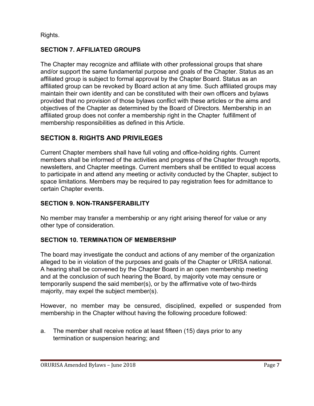Rights.

## **SECTION 7. AFFILIATED GROUPS**

The Chapter may recognize and affiliate with other professional groups that share and/or support the same fundamental purpose and goals of the Chapter. Status as an affiliated group is subject to formal approval by the Chapter Board. Status as an affiliated group can be revoked by Board action at any time. Such affiliated groups may maintain their own identity and can be constituted with their own officers and bylaws provided that no provision of those bylaws conflict with these articles or the aims and objectives of the Chapter as determined by the Board of Directors. Membership in an affiliated group does not confer a membership right in the Chapter fulfillment of membership responsibilities as defined in this Article.

## **SECTION 8. RIGHTS AND PRIVILEGES**

Current Chapter members shall have full voting and office-holding rights. Current members shall be informed of the activities and progress of the Chapter through reports, newsletters, and Chapter meetings. Current members shall be entitled to equal access to participate in and attend any meeting or activity conducted by the Chapter, subject to space limitations. Members may be required to pay registration fees for admittance to certain Chapter events.

## **SECTION 9. NON-TRANSFERABILITY**

No member may transfer a membership or any right arising thereof for value or any other type of consideration.

## **SECTION 10. TERMINATION OF MEMBERSHIP**

The board may investigate the conduct and actions of any member of the organization alleged to be in violation of the purposes and goals of the Chapter or URISA national. A hearing shall be convened by the Chapter Board in an open membership meeting and at the conclusion of such hearing the Board, by majority vote may censure or temporarily suspend the said member(s), or by the affirmative vote of two-thirds majority, may expel the subject member(s).

However, no member may be censured, disciplined, expelled or suspended from membership in the Chapter without having the following procedure followed:

a. The member shall receive notice at least fifteen (15) days prior to any termination or suspension hearing; and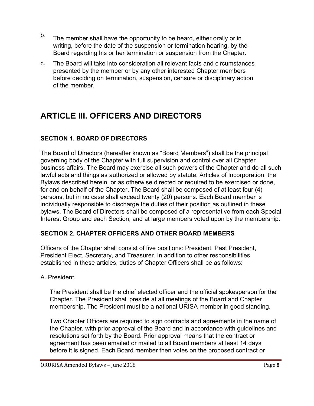- b. The member shall have the opportunity to be heard, either orally or in writing, before the date of the suspension or termination hearing, by the Board regarding his or her termination or suspension from the Chapter.
- c. The Board will take into consideration all relevant facts and circumstances presented by the member or by any other interested Chapter members before deciding on termination, suspension, censure or disciplinary action of the member.

## **ARTICLE III. OFFICERS AND DIRECTORS**

## **SECTION 1. BOARD OF DIRECTORS**

The Board of Directors (hereafter known as "Board Members") shall be the principal governing body of the Chapter with full supervision and control over all Chapter business affairs. The Board may exercise all such powers of the Chapter and do all such lawful acts and things as authorized or allowed by statute, Articles of Incorporation, the Bylaws described herein, or as otherwise directed or required to be exercised or done, for and on behalf of the Chapter. The Board shall be composed of at least four (4) persons, but in no case shall exceed twenty (20) persons. Each Board member is individually responsible to discharge the duties of their position as outlined in these bylaws. The Board of Directors shall be composed of a representative from each Special Interest Group and each Section, and at large members voted upon by the membership.

## **SECTION 2. CHAPTER OFFICERS AND OTHER BOARD MEMBERS**

Officers of the Chapter shall consist of five positions: President, Past President, President Elect, Secretary, and Treasurer. In addition to other responsibilities established in these articles, duties of Chapter Officers shall be as follows:

## A. President.

The President shall be the chief elected officer and the official spokesperson for the Chapter. The President shall preside at all meetings of the Board and Chapter membership. The President must be a national URISA member in good standing.

Two Chapter Officers are required to sign contracts and agreements in the name of the Chapter, with prior approval of the Board and in accordance with guidelines and resolutions set forth by the Board. Prior approval means that the contract or agreement has been emailed or mailed to all Board members at least 14 days before it is signed. Each Board member then votes on the proposed contract or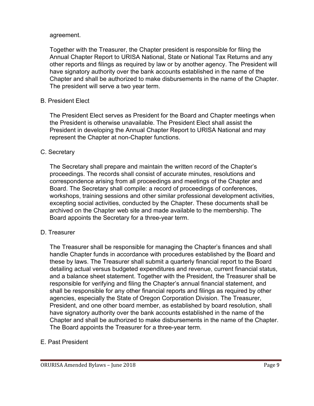#### agreement.

Together with the Treasurer, the Chapter president is responsible for filing the Annual Chapter Report to URISA National, State or National Tax Returns and any other reports and filings as required by law or by another agency. The President will have signatory authority over the bank accounts established in the name of the Chapter and shall be authorized to make disbursements in the name of the Chapter. The president will serve a two year term.

#### B. President Elect

The President Elect serves as President for the Board and Chapter meetings when the President is otherwise unavailable. The President Elect shall assist the President in developing the Annual Chapter Report to URISA National and may represent the Chapter at non-Chapter functions.

#### C. Secretary

The Secretary shall prepare and maintain the written record of the Chapter's proceedings. The records shall consist of accurate minutes, resolutions and correspondence arising from all proceedings and meetings of the Chapter and Board. The Secretary shall compile: a record of proceedings of conferences, workshops, training sessions and other similar professional development activities, excepting social activities, conducted by the Chapter. These documents shall be archived on the Chapter web site and made available to the membership. The Board appoints the Secretary for a three-year term.

#### D. Treasurer

The Treasurer shall be responsible for managing the Chapter's finances and shall handle Chapter funds in accordance with procedures established by the Board and these by laws. The Treasurer shall submit a quarterly financial report to the Board detailing actual versus budgeted expenditures and revenue, current financial status, and a balance sheet statement. Together with the President, the Treasurer shall be responsible for verifying and filing the Chapter's annual financial statement, and shall be responsible for any other financial reports and filings as required by other agencies, especially the State of Oregon Corporation Division. The Treasurer, President, and one other board member, as established by board resolution, shall have signatory authority over the bank accounts established in the name of the Chapter and shall be authorized to make disbursements in the name of the Chapter. The Board appoints the Treasurer for a three-year term.

#### E. Past President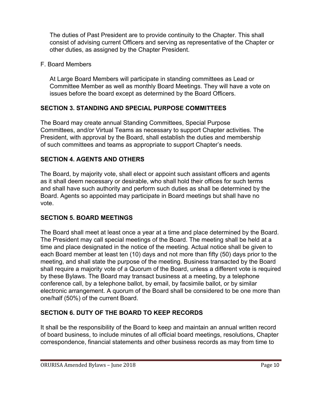The duties of Past President are to provide continuity to the Chapter. This shall consist of advising current Officers and serving as representative of the Chapter or other duties, as assigned by the Chapter President.

#### F. Board Members

At Large Board Members will participate in standing committees as Lead or Committee Member as well as monthly Board Meetings. They will have a vote on issues before the board except as determined by the Board Officers.

## **SECTION 3. STANDING AND SPECIAL PURPOSE COMMITTEES**

The Board may create annual Standing Committees, Special Purpose Committees, and/or Virtual Teams as necessary to support Chapter activities. The President, with approval by the Board, shall establish the duties and membership of such committees and teams as appropriate to support Chapter's needs.

## **SECTION 4. AGENTS AND OTHERS**

The Board, by majority vote, shall elect or appoint such assistant officers and agents as it shall deem necessary or desirable, who shall hold their offices for such terms and shall have such authority and perform such duties as shall be determined by the Board. Agents so appointed may participate in Board meetings but shall have no vote.

## **SECTION 5. BOARD MEETINGS**

The Board shall meet at least once a year at a time and place determined by the Board. The President may call special meetings of the Board. The meeting shall be held at a time and place designated in the notice of the meeting. Actual notice shall be given to each Board member at least ten (10) days and not more than fifty (50) days prior to the meeting, and shall state the purpose of the meeting. Business transacted by the Board shall require a majority vote of a Quorum of the Board, unless a different vote is required by these Bylaws. The Board may transact business at a meeting, by a telephone conference call, by a telephone ballot, by email, by facsimile ballot, or by similar electronic arrangement. A quorum of the Board shall be considered to be one more than one/half (50%) of the current Board.

## **SECTION 6. DUTY OF THE BOARD TO KEEP RECORDS**

It shall be the responsibility of the Board to keep and maintain an annual written record of board business, to include minutes of all official board meetings, resolutions, Chapter correspondence, financial statements and other business records as may from time to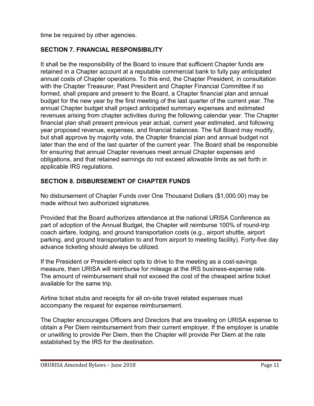time be required by other agencies.

#### **SECTION 7. FINANCIAL RESPONSIBILITY**

It shall be the responsibility of the Board to insure that sufficient Chapter funds are retained in a Chapter account at a reputable commercial bank to fully pay anticipated annual costs of Chapter operations. To this end, the Chapter President, in consultation with the Chapter Treasurer, Past President and Chapter Financial Committee if so formed, shall prepare and present to the Board, a Chapter financial plan and annual budget for the new year by the first meeting of the last quarter of the current year. The annual Chapter budget shall project anticipated summary expenses and estimated revenues arising from chapter activities during the following calendar year. The Chapter financial plan shall present previous year actual, current year estimated, and following year proposed revenue, expenses, and financial balances. The full Board may modify, but shall approve by majority vote, the Chapter financial plan and annual budget not later than the end of the last quarter of the current year. The Board shall be responsible for ensuring that annual Chapter revenues meet annual Chapter expenses and obligations, and that retained earnings do not exceed allowable limits as set forth in applicable IRS regulations.

#### **SECTION 8. DISBURSEMENT OF CHAPTER FUNDS**

No disbursement of Chapter Funds over One Thousand Dollars (\$1,000.00) may be made without two authorized signatures.

Provided that the Board authorizes attendance at the national URISA Conference as part of adoption of the Annual Budget, the Chapter will reimburse 100% of round-trip coach airfare, lodging, and ground transportation costs (e.g., airport shuttle, airport parking, and ground transportation to and from airport to meeting facility). Forty-five day advance ticketing should always be utilized.

If the President or President-elect opts to drive to the meeting as a cost-savings measure, then URISA will reimburse for mileage at the IRS business-expense rate. The amount of reimbursement shall not exceed the cost of the cheapest airline ticket available for the same trip.

Airline ticket stubs and receipts for all on-site travel related expenses must accompany the request for expense reimbursement.

The Chapter encourages Officers and Directors that are traveling on URISA expense to obtain a Per Diem reimbursement from their current employer. If the employer is unable or unwilling to provide Per Diem, then the Chapter will provide Per Diem at the rate established by the IRS for the destination.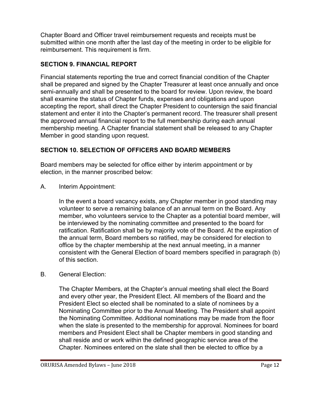Chapter Board and Officer travel reimbursement requests and receipts must be submitted within one month after the last day of the meeting in order to be eligible for reimbursement. This requirement is firm.

## **SECTION 9. FINANCIAL REPORT**

Financial statements reporting the true and correct financial condition of the Chapter shall be prepared and signed by the Chapter Treasurer at least once annually and once semi-annually and shall be presented to the board for review. Upon review, the board shall examine the status of Chapter funds, expenses and obligations and upon accepting the report, shall direct the Chapter President to countersign the said financial statement and enter it into the Chapter's permanent record. The treasurer shall present the approved annual financial report to the full membership during each annual membership meeting. A Chapter financial statement shall be released to any Chapter Member in good standing upon request.

## **SECTION 10. SELECTION OF OFFICERS AND BOARD MEMBERS**

Board members may be selected for office either by interim appointment or by election, in the manner proscribed below:

A. Interim Appointment:

In the event a board vacancy exists, any Chapter member in good standing may volunteer to serve a remaining balance of an annual term on the Board. Any member, who volunteers service to the Chapter as a potential board member, will be interviewed by the nominating committee and presented to the board for ratification. Ratification shall be by majority vote of the Board. At the expiration of the annual term, Board members so ratified, may be considered for election to office by the chapter membership at the next annual meeting, in a manner consistent with the General Election of board members specified in paragraph (b) of this section.

#### B. General Election:

The Chapter Members, at the Chapter's annual meeting shall elect the Board and every other year, the President Elect. All members of the Board and the President Elect so elected shall be nominated to a slate of nominees by a Nominating Committee prior to the Annual Meeting. The President shall appoint the Nominating Committee. Additional nominations may be made from the floor when the slate is presented to the membership for approval. Nominees for board members and President Elect shall be Chapter members in good standing and shall reside and or work within the defined geographic service area of the Chapter. Nominees entered on the slate shall then be elected to office by a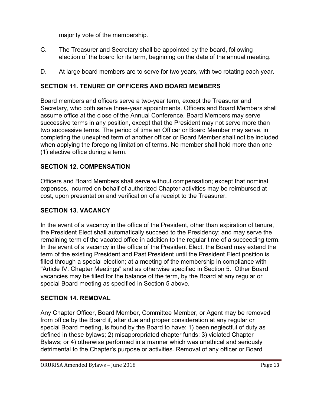majority vote of the membership.

- C. The Treasurer and Secretary shall be appointed by the board, following election of the board for its term, beginning on the date of the annual meeting.
- D. At large board members are to serve for two years, with two rotating each year.

## **SECTION 11. TENURE OF OFFICERS AND BOARD MEMBERS**

Board members and officers serve a two-year term, except the Treasurer and Secretary, who both serve three-year appointments. Officers and Board Members shall assume office at the close of the Annual Conference. Board Members may serve successive terms in any position, except that the President may not serve more than two successive terms. The period of time an Officer or Board Member may serve, in completing the unexpired term of another officer or Board Member shall not be included when applying the foregoing limitation of terms. No member shall hold more than one (1) elective office during a term.

## **SECTION 12. COMPENSATION**

Officers and Board Members shall serve without compensation; except that nominal expenses, incurred on behalf of authorized Chapter activities may be reimbursed at cost, upon presentation and verification of a receipt to the Treasurer.

## **SECTION 13. VACANCY**

In the event of a vacancy in the office of the President, other than expiration of tenure, the President Elect shall automatically succeed to the Presidency; and may serve the remaining term of the vacated office in addition to the regular time of a succeeding term. In the event of a vacancy in the office of the President Elect, the Board may extend the term of the existing President and Past President until the President Elect position is filled through a special election; at a meeting of the membership in compliance with "Article IV. Chapter Meetings" and as otherwise specified in Section 5. Other Board vacancies may be filled for the balance of the term, by the Board at any regular or special Board meeting as specified in Section 5 above.

## **SECTION 14. REMOVAL**

Any Chapter Officer, Board Member, Committee Member, or Agent may be removed from office by the Board if, after due and proper consideration at any regular or special Board meeting, is found by the Board to have: 1) been neglectful of duty as defined in these bylaws; 2) misappropriated chapter funds; 3) violated Chapter Bylaws; or 4) otherwise performed in a manner which was unethical and seriously detrimental to the Chapter's purpose or activities. Removal of any officer or Board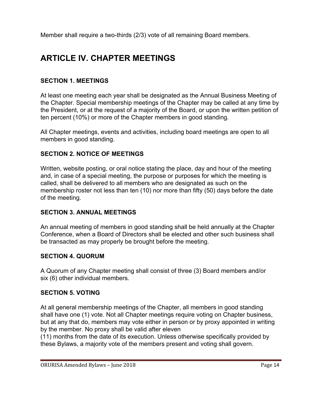Member shall require a two-thirds (2/3) vote of all remaining Board members.

## **ARTICLE IV. CHAPTER MEETINGS**

## **SECTION 1. MEETINGS**

At least one meeting each year shall be designated as the Annual Business Meeting of the Chapter. Special membership meetings of the Chapter may be called at any time by the President, or at the request of a majority of the Board, or upon the written petition of ten percent (10%) or more of the Chapter members in good standing.

All Chapter meetings, events and activities, including board meetings are open to all members in good standing.

#### **SECTION 2. NOTICE OF MEETINGS**

Written, website posting, or oral notice stating the place, day and hour of the meeting and, in case of a special meeting, the purpose or purposes for which the meeting is called, shall be delivered to all members who are designated as such on the membership roster not less than ten (10) nor more than fifty (50) days before the date of the meeting.

## **SECTION 3. ANNUAL MEETINGS**

An annual meeting of members in good standing shall be held annually at the Chapter Conference, when a Board of Directors shall be elected and other such business shall be transacted as may properly be brought before the meeting.

#### **SECTION 4. QUORUM**

A Quorum of any Chapter meeting shall consist of three (3) Board members and/or six (6) other individual members.

#### **SECTION 5. VOTING**

At all general membership meetings of the Chapter, all members in good standing shall have one (1) vote. Not all Chapter meetings require voting on Chapter business, but at any that do, members may vote either in person or by proxy appointed in writing by the member. No proxy shall be valid after eleven

(11) months from the date of its execution. Unless otherwise specifically provided by these Bylaws, a majority vote of the members present and voting shall govern.